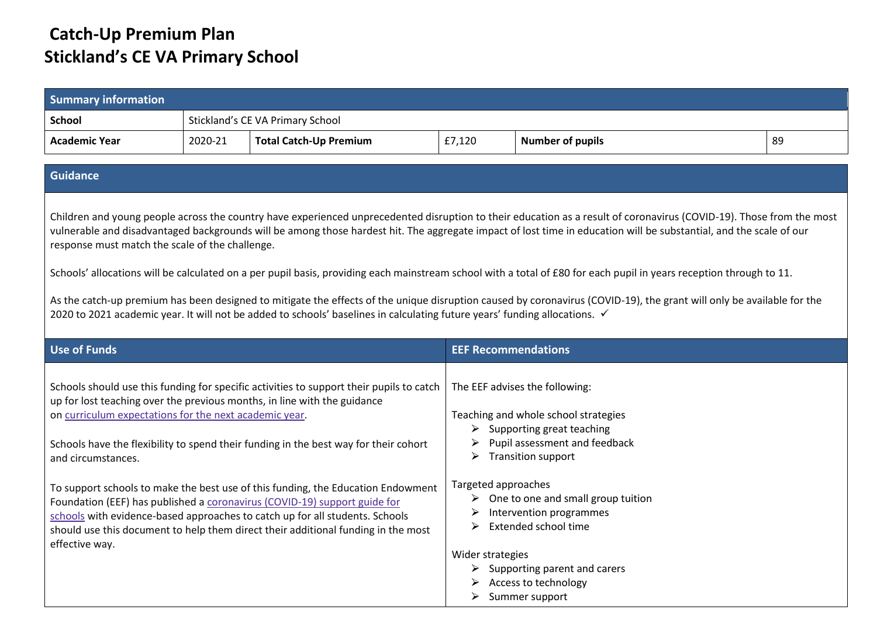## **Catch-Up Premium Plan Stickland's CE VA Primary School**

| <b>Summary information</b>                                                                                                                                                                                                                                                                                                                                                                                                                                                 |         |                                                                                                                                                                                                                                                                                                                                    |                                                   |                                                                                                                                                                                                                                                                                                                                            |    |
|----------------------------------------------------------------------------------------------------------------------------------------------------------------------------------------------------------------------------------------------------------------------------------------------------------------------------------------------------------------------------------------------------------------------------------------------------------------------------|---------|------------------------------------------------------------------------------------------------------------------------------------------------------------------------------------------------------------------------------------------------------------------------------------------------------------------------------------|---------------------------------------------------|--------------------------------------------------------------------------------------------------------------------------------------------------------------------------------------------------------------------------------------------------------------------------------------------------------------------------------------------|----|
| <b>School</b>                                                                                                                                                                                                                                                                                                                                                                                                                                                              |         | Stickland's CE VA Primary School                                                                                                                                                                                                                                                                                                   |                                                   |                                                                                                                                                                                                                                                                                                                                            |    |
| <b>Academic Year</b>                                                                                                                                                                                                                                                                                                                                                                                                                                                       | 2020-21 | <b>Total Catch-Up Premium</b>                                                                                                                                                                                                                                                                                                      | £7,120                                            | <b>Number of pupils</b>                                                                                                                                                                                                                                                                                                                    | 89 |
| <b>Guidance</b>                                                                                                                                                                                                                                                                                                                                                                                                                                                            |         |                                                                                                                                                                                                                                                                                                                                    |                                                   |                                                                                                                                                                                                                                                                                                                                            |    |
| response must match the scale of the challenge.                                                                                                                                                                                                                                                                                                                                                                                                                            |         |                                                                                                                                                                                                                                                                                                                                    |                                                   | Children and young people across the country have experienced unprecedented disruption to their education as a result of coronavirus (COVID-19). Those from the most<br>vulnerable and disadvantaged backgrounds will be among those hardest hit. The aggregate impact of lost time in education will be substantial, and the scale of our |    |
| Schools' allocations will be calculated on a per pupil basis, providing each mainstream school with a total of £80 for each pupil in years reception through to 11.<br>As the catch-up premium has been designed to mitigate the effects of the unique disruption caused by coronavirus (COVID-19), the grant will only be available for the<br>2020 to 2021 academic year. It will not be added to schools' baselines in calculating future years' funding allocations. ✓ |         |                                                                                                                                                                                                                                                                                                                                    |                                                   |                                                                                                                                                                                                                                                                                                                                            |    |
| <b>Use of Funds</b>                                                                                                                                                                                                                                                                                                                                                                                                                                                        |         |                                                                                                                                                                                                                                                                                                                                    | <b>EEF Recommendations</b>                        |                                                                                                                                                                                                                                                                                                                                            |    |
| on curriculum expectations for the next academic year.<br>and circumstances.                                                                                                                                                                                                                                                                                                                                                                                               |         | Schools should use this funding for specific activities to support their pupils to catch<br>up for lost teaching over the previous months, in line with the guidance<br>Schools have the flexibility to spend their funding in the best way for their cohort                                                                       |                                                   | The EEF advises the following:<br>Teaching and whole school strategies<br>$\triangleright$ Supporting great teaching<br>Pupil assessment and feedback<br>$\triangleright$ Transition support                                                                                                                                               |    |
| effective way.                                                                                                                                                                                                                                                                                                                                                                                                                                                             |         | To support schools to make the best use of this funding, the Education Endowment<br>Foundation (EEF) has published a coronavirus (COVID-19) support guide for<br>schools with evidence-based approaches to catch up for all students. Schools<br>should use this document to help them direct their additional funding in the most | Targeted approaches<br>➤<br>Wider strategies<br>➤ | $\triangleright$ One to one and small group tuition<br>Intervention programmes<br>Extended school time<br>$\triangleright$ Supporting parent and carers<br>Access to technology<br>Summer support                                                                                                                                          |    |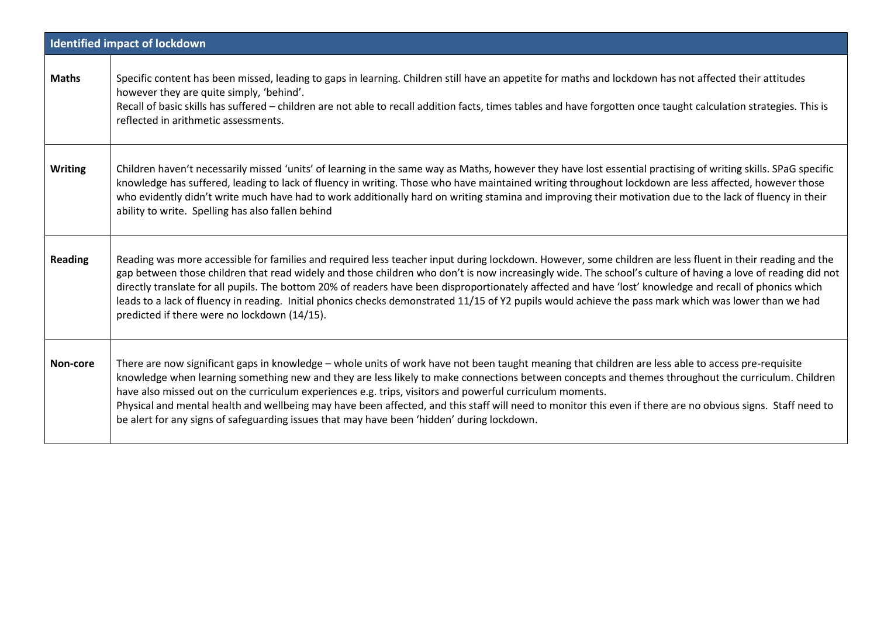|                | <b>Identified impact of lockdown</b>                                                                                                                                                                                                                                                                                                                                                                                                                                                                                                                                                                                                                                                          |
|----------------|-----------------------------------------------------------------------------------------------------------------------------------------------------------------------------------------------------------------------------------------------------------------------------------------------------------------------------------------------------------------------------------------------------------------------------------------------------------------------------------------------------------------------------------------------------------------------------------------------------------------------------------------------------------------------------------------------|
| <b>Maths</b>   | Specific content has been missed, leading to gaps in learning. Children still have an appetite for maths and lockdown has not affected their attitudes<br>however they are quite simply, 'behind'.<br>Recall of basic skills has suffered - children are not able to recall addition facts, times tables and have forgotten once taught calculation strategies. This is<br>reflected in arithmetic assessments.                                                                                                                                                                                                                                                                               |
| <b>Writing</b> | Children haven't necessarily missed 'units' of learning in the same way as Maths, however they have lost essential practising of writing skills. SPaG specific<br>knowledge has suffered, leading to lack of fluency in writing. Those who have maintained writing throughout lockdown are less affected, however those<br>who evidently didn't write much have had to work additionally hard on writing stamina and improving their motivation due to the lack of fluency in their<br>ability to write. Spelling has also fallen behind                                                                                                                                                      |
| <b>Reading</b> | Reading was more accessible for families and required less teacher input during lockdown. However, some children are less fluent in their reading and the<br>gap between those children that read widely and those children who don't is now increasingly wide. The school's culture of having a love of reading did not<br>directly translate for all pupils. The bottom 20% of readers have been disproportionately affected and have 'lost' knowledge and recall of phonics which<br>leads to a lack of fluency in reading. Initial phonics checks demonstrated 11/15 of Y2 pupils would achieve the pass mark which was lower than we had<br>predicted if there were no lockdown (14/15). |
| Non-core       | There are now significant gaps in knowledge - whole units of work have not been taught meaning that children are less able to access pre-requisite<br>knowledge when learning something new and they are less likely to make connections between concepts and themes throughout the curriculum. Children<br>have also missed out on the curriculum experiences e.g. trips, visitors and powerful curriculum moments.<br>Physical and mental health and wellbeing may have been affected, and this staff will need to monitor this even if there are no obvious signs. Staff need to<br>be alert for any signs of safeguarding issues that may have been 'hidden' during lockdown.             |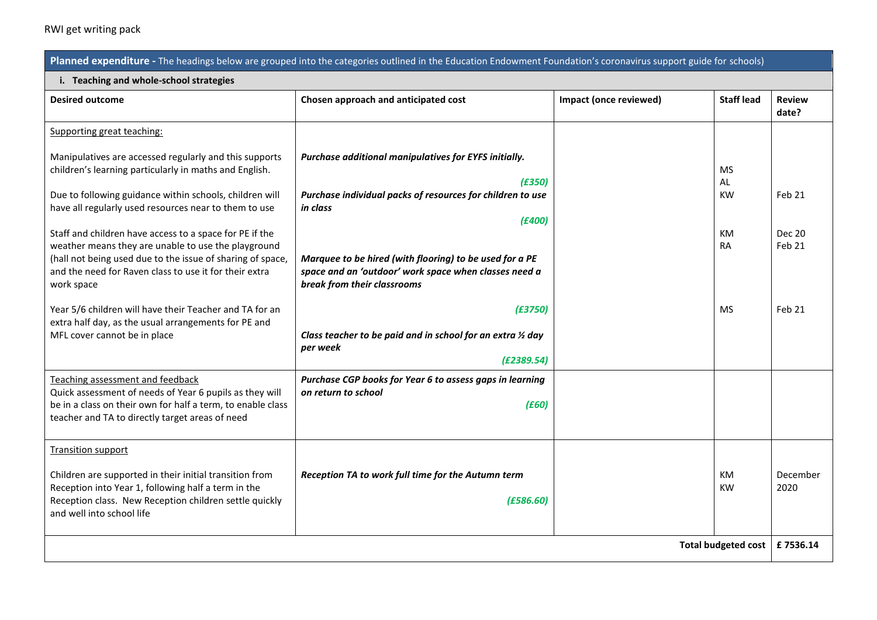## RWI get writing pack

| Planned expenditure - The headings below are grouped into the categories outlined in the Education Endowment Foundation's coronavirus support guide for schools)                                                                                     |                                                                                                                                                 |                        |                        |                         |  |  |
|------------------------------------------------------------------------------------------------------------------------------------------------------------------------------------------------------------------------------------------------------|-------------------------------------------------------------------------------------------------------------------------------------------------|------------------------|------------------------|-------------------------|--|--|
| i. Teaching and whole-school strategies                                                                                                                                                                                                              |                                                                                                                                                 |                        |                        |                         |  |  |
| <b>Desired outcome</b>                                                                                                                                                                                                                               | Chosen approach and anticipated cost                                                                                                            | Impact (once reviewed) | <b>Staff lead</b>      | <b>Review</b><br>date?  |  |  |
| Supporting great teaching:                                                                                                                                                                                                                           |                                                                                                                                                 |                        |                        |                         |  |  |
| Manipulatives are accessed regularly and this supports<br>children's learning particularly in maths and English.                                                                                                                                     | Purchase additional manipulatives for EYFS initially.<br>(E350)                                                                                 |                        | <b>MS</b><br>AL        |                         |  |  |
| Due to following guidance within schools, children will<br>have all regularly used resources near to them to use                                                                                                                                     | Purchase individual packs of resources for children to use<br>in class<br>(E400)                                                                |                        | <b>KW</b>              | Feb 21                  |  |  |
| Staff and children have access to a space for PE if the<br>weather means they are unable to use the playground<br>(hall not being used due to the issue of sharing of space,<br>and the need for Raven class to use it for their extra<br>work space | Marquee to be hired (with flooring) to be used for a PE<br>space and an 'outdoor' work space when classes need a<br>break from their classrooms |                        | <b>KM</b><br><b>RA</b> | <b>Dec 20</b><br>Feb 21 |  |  |
| Year 5/6 children will have their Teacher and TA for an<br>extra half day, as the usual arrangements for PE and<br>MFL cover cannot be in place                                                                                                      | (E3750)<br>Class teacher to be paid and in school for an extra 1/2 day<br>per week<br>(E2389.54)                                                |                        | <b>MS</b>              | Feb 21                  |  |  |
| Teaching assessment and feedback<br>Quick assessment of needs of Year 6 pupils as they will<br>be in a class on their own for half a term, to enable class<br>teacher and TA to directly target areas of need                                        | Purchase CGP books for Year 6 to assess gaps in learning<br>on return to school<br>(E60)                                                        |                        |                        |                         |  |  |
| <b>Transition support</b><br>Children are supported in their initial transition from<br>Reception into Year 1, following half a term in the<br>Reception class. New Reception children settle quickly<br>and well into school life                   | Reception TA to work full time for the Autumn term<br>(E586.60)                                                                                 |                        | <b>KM</b><br><b>KW</b> | December<br>2020        |  |  |
| <b>Total budgeted cost</b>                                                                                                                                                                                                                           |                                                                                                                                                 |                        |                        | £7536.14                |  |  |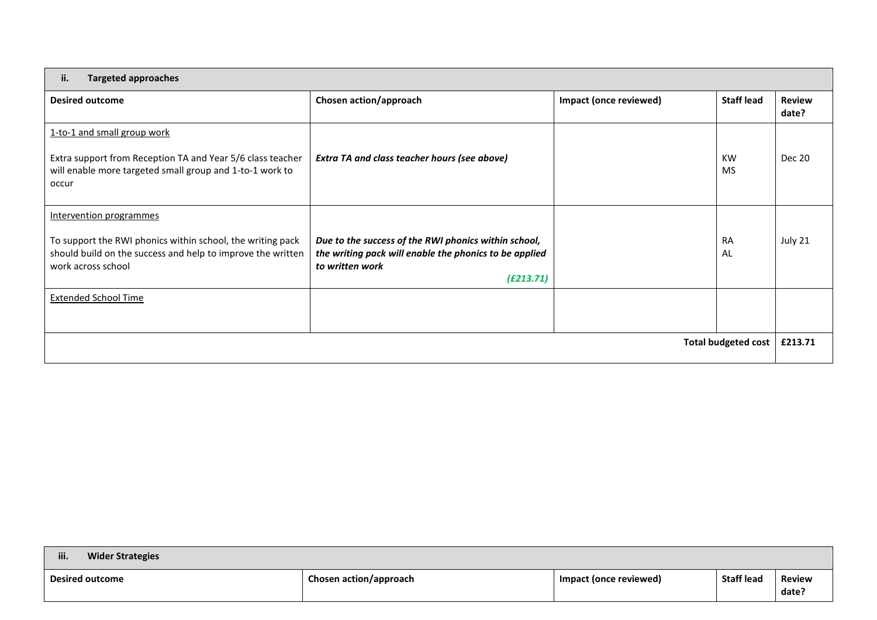| ii.<br><b>Targeted approaches</b>                                                                                                                                          |                                                                                                                                                |                               |                        |                        |  |
|----------------------------------------------------------------------------------------------------------------------------------------------------------------------------|------------------------------------------------------------------------------------------------------------------------------------------------|-------------------------------|------------------------|------------------------|--|
| <b>Desired outcome</b>                                                                                                                                                     | Chosen action/approach                                                                                                                         | <b>Impact (once reviewed)</b> | <b>Staff lead</b>      | <b>Review</b><br>date? |  |
| 1-to-1 and small group work<br>Extra support from Reception TA and Year 5/6 class teacher<br>will enable more targeted small group and 1-to-1 work to<br>occur             | Extra TA and class teacher hours (see above)                                                                                                   |                               | <b>KW</b><br><b>MS</b> | <b>Dec 20</b>          |  |
| Intervention programmes<br>To support the RWI phonics within school, the writing pack<br>should build on the success and help to improve the written<br>work across school | Due to the success of the RWI phonics within school,<br>the writing pack will enable the phonics to be applied<br>to written work<br>(E213.71) |                               | <b>RA</b><br>AL        | July 21                |  |
| <b>Extended School Time</b>                                                                                                                                                |                                                                                                                                                |                               |                        |                        |  |
| <b>Total budgeted cost</b>                                                                                                                                                 |                                                                                                                                                |                               |                        | £213.71                |  |

| iii.<br><b>Wider Strategies</b> |                        |                        |                   |                        |
|---------------------------------|------------------------|------------------------|-------------------|------------------------|
| <b>Desired outcome</b>          | Chosen action/approach | Impact (once reviewed) | <b>Staff lead</b> | <b>Review</b><br>date? |